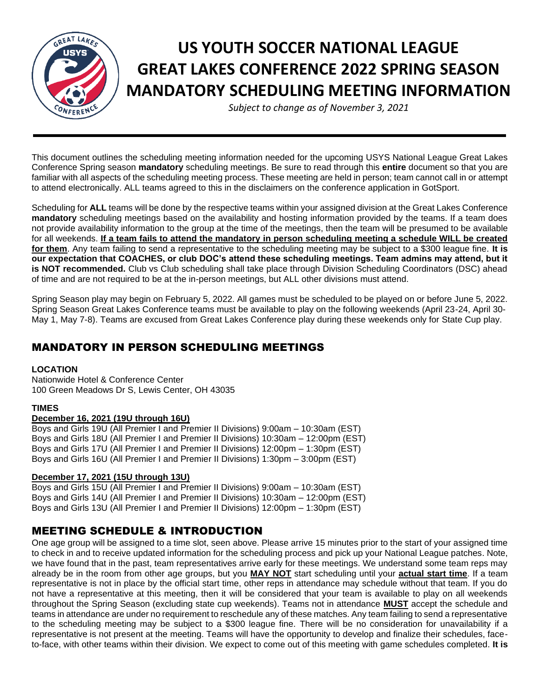

# **US YOUTH SOCCER NATIONAL LEAGUE GREAT LAKES CONFERENCE 2022 SPRING SEASON MANDATORY SCHEDULING MEETING INFORMATION**

*Subject to change as of November 3, 2021*

This document outlines the scheduling meeting information needed for the upcoming USYS National League Great Lakes Conference Spring season **mandatory** scheduling meetings. Be sure to read through this **entire** document so that you are familiar with all aspects of the scheduling meeting process. These meeting are held in person; team cannot call in or attempt to attend electronically. ALL teams agreed to this in the disclaimers on the conference application in GotSport.

Scheduling for **ALL** teams will be done by the respective teams within your assigned division at the Great Lakes Conference **mandatory** scheduling meetings based on the availability and hosting information provided by the teams. If a team does not provide availability information to the group at the time of the meetings, then the team will be presumed to be available for all weekends. **If a team fails to attend the mandatory in person scheduling meeting a schedule WILL be created for them**. Any team failing to send a representative to the scheduling meeting may be subject to a \$300 league fine. **It is our expectation that COACHES, or club DOC's attend these scheduling meetings. Team admins may attend, but it is NOT recommended.** Club vs Club scheduling shall take place through Division Scheduling Coordinators (DSC) ahead of time and are not required to be at the in-person meetings, but ALL other divisions must attend.

Spring Season play may begin on February 5, 2022. All games must be scheduled to be played on or before June 5, 2022. Spring Season Great Lakes Conference teams must be available to play on the following weekends (April 23-24, April 30- May 1, May 7-8). Teams are excused from Great Lakes Conference play during these weekends only for State Cup play.

# MANDATORY IN PERSON SCHEDULING MEETINGS

#### **LOCATION**

Nationwide Hotel & Conference Center 100 Green Meadows Dr S, Lewis Center, OH 43035

#### **TIMES**

#### **December 16, 2021 (19U through 16U)**

Boys and Girls 19U (All Premier I and Premier II Divisions) 9:00am – 10:30am (EST) Boys and Girls 18U (All Premier I and Premier II Divisions) 10:30am – 12:00pm (EST) Boys and Girls 17U (All Premier I and Premier II Divisions) 12:00pm – 1:30pm (EST) Boys and Girls 16U (All Premier I and Premier II Divisions) 1:30pm – 3:00pm (EST)

#### **December 17, 2021 (15U through 13U)**

Boys and Girls 15U (All Premier I and Premier II Divisions) 9:00am – 10:30am (EST) Boys and Girls 14U (All Premier I and Premier II Divisions) 10:30am – 12:00pm (EST) Boys and Girls 13U (All Premier I and Premier II Divisions) 12:00pm – 1:30pm (EST)

# MEETING SCHEDULE & INTRODUCTION

One age group will be assigned to a time slot, seen above. Please arrive 15 minutes prior to the start of your assigned time to check in and to receive updated information for the scheduling process and pick up your National League patches. Note, we have found that in the past, team representatives arrive early for these meetings. We understand some team reps may already be in the room from other age groups, but you **MAY NOT** start scheduling until your **actual start time**. If a team representative is not in place by the official start time, other reps in attendance may schedule without that team. If you do not have a representative at this meeting, then it will be considered that your team is available to play on all weekends throughout the Spring Season (excluding state cup weekends). Teams not in attendance **MUST** accept the schedule and teams in attendance are under no requirement to reschedule any of these matches. Any team failing to send a representative to the scheduling meeting may be subject to a \$300 league fine. There will be no consideration for unavailability if a representative is not present at the meeting. Teams will have the opportunity to develop and finalize their schedules, faceto-face, with other teams within their division. We expect to come out of this meeting with game schedules completed. **It is**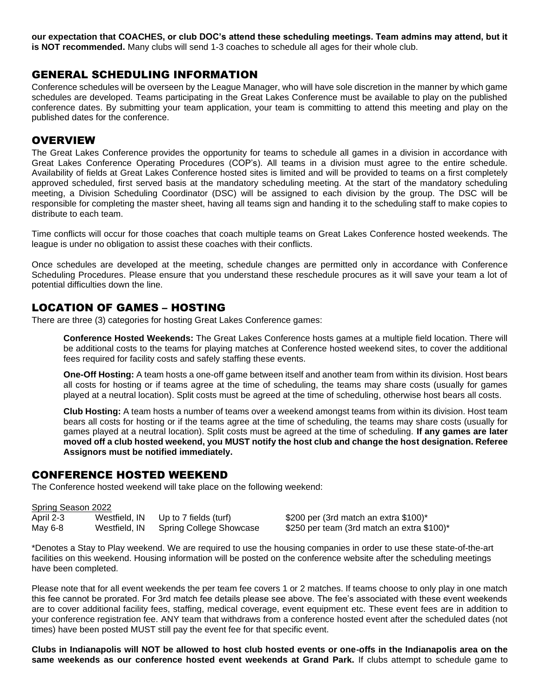**our expectation that COACHES, or club DOC's attend these scheduling meetings. Team admins may attend, but it is NOT recommended.** Many clubs will send 1-3 coaches to schedule all ages for their whole club.

## GENERAL SCHEDULING INFORMATION

Conference schedules will be overseen by the League Manager, who will have sole discretion in the manner by which game schedules are developed. Teams participating in the Great Lakes Conference must be available to play on the published conference dates. By submitting your team application, your team is committing to attend this meeting and play on the published dates for the conference.

## **OVERVIEW**

The Great Lakes Conference provides the opportunity for teams to schedule all games in a division in accordance with Great Lakes Conference Operating Procedures (COP's). All teams in a division must agree to the entire schedule. Availability of fields at Great Lakes Conference hosted sites is limited and will be provided to teams on a first completely approved scheduled, first served basis at the mandatory scheduling meeting. At the start of the mandatory scheduling meeting, a Division Scheduling Coordinator (DSC) will be assigned to each division by the group. The DSC will be responsible for completing the master sheet, having all teams sign and handing it to the scheduling staff to make copies to distribute to each team.

Time conflicts will occur for those coaches that coach multiple teams on Great Lakes Conference hosted weekends. The league is under no obligation to assist these coaches with their conflicts.

Once schedules are developed at the meeting, schedule changes are permitted only in accordance with Conference Scheduling Procedures. Please ensure that you understand these reschedule procures as it will save your team a lot of potential difficulties down the line.

## LOCATION OF GAMES – HOSTING

There are three (3) categories for hosting Great Lakes Conference games:

**Conference Hosted Weekends:** The Great Lakes Conference hosts games at a multiple field location. There will be additional costs to the teams for playing matches at Conference hosted weekend sites, to cover the additional fees required for facility costs and safely staffing these events.

**One-Off Hosting:** A team hosts a one-off game between itself and another team from within its division. Host bears all costs for hosting or if teams agree at the time of scheduling, the teams may share costs (usually for games played at a neutral location). Split costs must be agreed at the time of scheduling, otherwise host bears all costs.

**Club Hosting:** A team hosts a number of teams over a weekend amongst teams from within its division. Host team bears all costs for hosting or if the teams agree at the time of scheduling, the teams may share costs (usually for games played at a neutral location). Split costs must be agreed at the time of scheduling. **If any games are later moved off a club hosted weekend, you MUST notify the host club and change the host designation. Referee Assignors must be notified immediately.**

#### CONFERENCE HOSTED WEEKEND

The Conference hosted weekend will take place on the following weekend:

| Spring Season 2022 |               |                         |                                            |
|--------------------|---------------|-------------------------|--------------------------------------------|
| April 2-3          | Westfield, IN | Up to 7 fields (turf)   | \$200 per (3rd match an extra \$100)*      |
| May 6-8            | Westfield, IN | Spring College Showcase | \$250 per team (3rd match an extra \$100)* |

\*Denotes a Stay to Play weekend. We are required to use the housing companies in order to use these state-of-the-art facilities on this weekend. Housing information will be posted on the conference website after the scheduling meetings have been completed.

Please note that for all event weekends the per team fee covers 1 or 2 matches. If teams choose to only play in one match this fee cannot be prorated. For 3rd match fee details please see above. The fee's associated with these event weekends are to cover additional facility fees, staffing, medical coverage, event equipment etc. These event fees are in addition to your conference registration fee. ANY team that withdraws from a conference hosted event after the scheduled dates (not times) have been posted MUST still pay the event fee for that specific event.

**Clubs in Indianapolis will NOT be allowed to host club hosted events or one-offs in the Indianapolis area on the same weekends as our conference hosted event weekends at Grand Park.** If clubs attempt to schedule game to